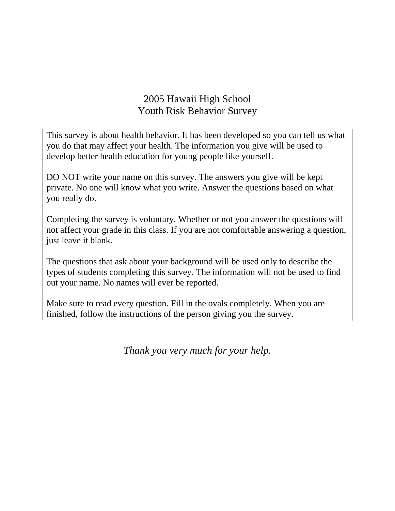# 2005 Hawaii High School Youth Risk Behavior Survey

This survey is about health behavior. It has been developed so you can tell us what you do that may affect your health. The information you give will be used to develop better health education for young people like yourself.

DO NOT write your name on this survey. The answers you give will be kept private. No one will know what you write. Answer the questions based on what you really do.

Completing the survey is voluntary. Whether or not you answer the questions will not affect your grade in this class. If you are not comfortable answering a question, just leave it blank.

The questions that ask about your background will be used only to describe the types of students completing this survey. The information will not be used to find out your name. No names will ever be reported.

Make sure to read every question. Fill in the ovals completely. When you are finished, follow the instructions of the person giving you the survey.

*Thank you very much for your help.*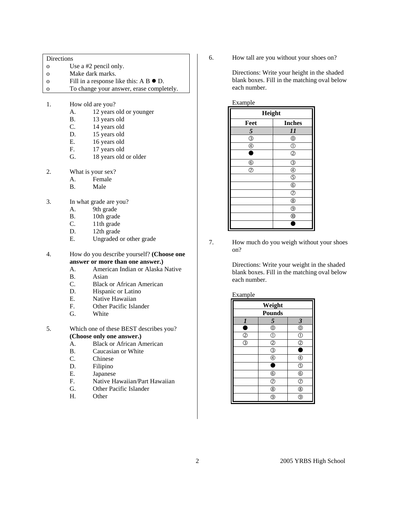Directions

- o Use a #2 pencil only.
- o Make dark marks.
- o Fill in a response like this:  $A \cdot B \cdot D$ .
- o To change your answer, erase completely.
- 1. How old are you?
	- A. 12 years old or younger
	- B. 13 years old
	- C. 14 years old
	- D. 15 years old
	- E. 16 years old<br>F. 17 years old
	- 17 years old
	- G. 18 years old or older
- 2. What is your sex?
	- A. Female
	- B. Male
- 3. In what grade are you?
	- A. 9th grade
	- B. 10th grade<br>C. 11th grade
	- 11th grade
	- D. 12th grade
	- E. Ungraded or other grade

4. How do you describe yourself? **(Choose one answer or more than one answer.)**

- A. American Indian or Alaska Native
- B. Asian<br>C. Black
- **Black or African American**
- D. Hispanic or Latino
- E. Native Hawaiian
- F. Other Pacific Islander
- G. White
- 5. Which one of these BEST describes you? **(Choose only one answer.)** 
	- A. Black or African American
	-
	- B. Caucasian or White<br>C. Chinese **Chinese**
	- D. Filipino
	- E. Japanese
	- F. Native Hawaiian/Part Hawaiian
	- G. Other Pacific Islander
	- H. Other

6. How tall are you without your shoes on?

Directions: Write your height in the shaded blank boxes. Fill in the matching oval below each number.

| Example        |                                           |  |
|----------------|-------------------------------------------|--|
| Height         |                                           |  |
| Feet           | <b>Inches</b>                             |  |
| 5              | 11                                        |  |
| $\circledS$    | $^{\circledR}$                            |  |
| $^{\circledR}$ | $\circledcirc$                            |  |
| n              | $\circled{2}$                             |  |
| $^{\circ}$     | ③                                         |  |
| ℗              | $^{\circledR}$                            |  |
|                | $\circledS$                               |  |
|                | $\overline{\circ}$                        |  |
|                | $\overline{\circ}$                        |  |
|                | $^{\circledR}$                            |  |
|                | $^{\circledR}$                            |  |
|                | $\overline{\textcircled{\scriptsize{0}}}$ |  |
|                |                                           |  |

7. How much do you weigh without your shoes on?

> Directions: Write your weight in the shaded blank boxes. Fill in the matching oval below each number.

### Example

| Weight           |               |                         |
|------------------|---------------|-------------------------|
| <b>Pounds</b>    |               |                         |
| $\boldsymbol{l}$ | 5             | $\overline{\mathbf{3}}$ |
|                  | ⊚             | $\circledcirc$          |
| $^{\circledR}$   | C             | C                       |
| T                | $\circledz$   | Q,                      |
|                  | T             |                         |
|                  |               |                         |
|                  |               | T                       |
|                  | $^\copyright$ | $^{\circ}$              |
|                  | T             | T                       |
|                  | (8            | ®                       |
|                  | 9             | 9                       |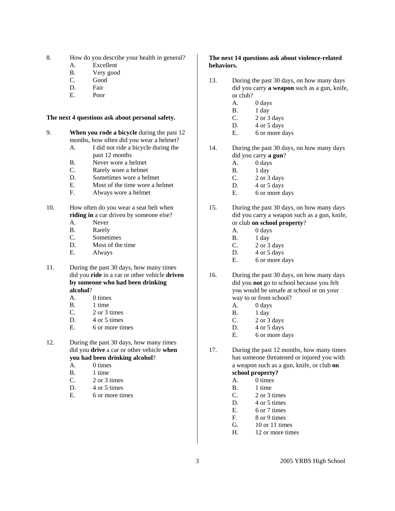8. How do you describe your health in general?

- A. Excellent
- B. Very good
- C. Good
- D. Fair
- E. Poor

#### **The next 4 questions ask about personal safety.**

- 9. **When you rode a bicycle** during the past 12 months, how often did you wear a helmet?
	- A. I did not ride a bicycle during the past 12 months
	- B. Never wore a helmet
	- C. Rarely wore a helmet
	- D. Sometimes wore a helmet
	- E. Most of the time wore a helmet
	- F. Always wore a helmet
- 10. How often do you wear a seat belt when **riding in** a car driven by someone else?
	- A. Never
	- B. Rarely
	- C. Sometimes
	- D. Most of the time
	- E. Always
- 11. During the past 30 days, how many times did you **ride** in a car or other vehicle **driven by someone who had been drinking alcohol**?
	- A. 0 times
	- B. 1 time
	- C. 2 or 3 times
	- D. 4 or 5 times
	- E. 6 or more times
- 12. During the past 30 days, how many times did you **drive** a car or other vehicle **when you had been drinking alcohol**?
	- A. 0 times
	- B. 1 time
	- C. 2 or 3 times
	- D. 4 or 5 times
	- E. 6 or more times

### **The next 14 questions ask about violence-related behaviors.**

- 13. During the past 30 days, on how many days did you carry **a weapon** such as a gun, knife, or club?
	- A. 0 days
	- B. 1 day
	- C.  $2 \text{ or } 3 \text{ days}$
	- D.  $4$  or  $5$  days
	- E. 6 or more days
- 14. During the past 30 days, on how many days did you carry **a gun**?
	- A. 0 days
	- B. 1 day
	- C. 2 or 3 days
	- D. 4 or 5 days
	- E. 6 or more days
- 15. During the past 30 days, on how many days did you carry a weapon such as a gun, knife, or club **on school property**?
	- A. 0 days
	- B. 1 day
	- $C.$  2 or 3 days
	- D. 4 or 5 days
	- E. 6 or more days
- 16. During the past 30 days, on how many days did you **not** go to school because you felt you would be unsafe at school or on your way to or from school?
	- A. 0 days
	- B. 1 day
	- C.  $2 \text{ or } 3 \text{ days}$
	- D.  $4$  or  $5$  days
	- E. 6 or more days

17. During the past 12 months, how many times has someone threatened or injured you with a weapon such as a gun, knife, or club **on school property?**

## A. 0 times

- B. 1 time
- C. 2 or 3 times
- D. 4 or 5 times
- E. 6 or 7 times
- F. 8 or 9 times
- G. 10 or 11 times
- H. 12 or more times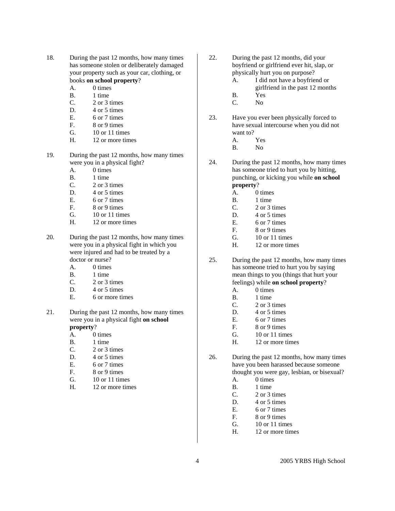- 18. During the past 12 months, how many times has someone stolen or deliberately damaged your property such as your car, clothing, or books **on school property**?
	- A. 0 times
	- B. 1 time
	- C. 2 or 3 times
	- D. 4 or 5 times
	- E. 6 or 7 times
	- F. 8 or 9 times
	- G. 10 or 11 times
	- H. 12 or more times
- 19. During the past 12 months, how many times were you in a physical fight?
	- A. 0 times
	- B. 1 time
	- C. 2 or 3 times
	- D. 4 or 5 times
	- E. 6 or 7 times
	- F. 8 or 9 times
	- G. 10 or 11 times
	- H. 12 or more times
- 20. During the past 12 months, how many times were you in a physical fight in which you were injured and had to be treated by a doctor or nurse?
	- A. 0 times
	- B. 1 time
	- C 2 or 3 times
	- D. 4 or 5 times
	- E. 6 or more times
- 21. During the past 12 months, how many times were you in a physical fight **on school property**?
	- A. 0 times
	- B. 1 time
	- C. 2 or 3 times
	- D. 4 or 5 times
	- E. 6 or 7 times
	- F. 8 or 9 times
	- G. 10 or 11 times
	- H. 12 or more times
- 22. During the past 12 months, did your boyfriend or girlfriend ever hit, slap, or physically hurt you on purpose?
	- A. I did not have a boyfriend or
		- girlfriend in the past 12 months
	- B. Yes
	- C. No
- 23. Have you ever been physically forced to have sexual intercourse when you did not want to?
	- A. Yes
	- B. No
- 24. During the past 12 months, how many times has someone tried to hurt you by hitting, punching, or kicking you while **on school property**?
	- A. 0 times
	- B. 1 time
	- C. 2 or 3 times
	- D. 4 or 5 times
	- E. 6 or 7 times
	- F. 8 or 9 times
	- G. 10 or 11 times
	- H. 12 or more times
- 25. During the past 12 months, how many times has someone tried to hurt you by saying mean things to you (things that hurt your feelings) while **on school property**?
	- A. 0 times
	- B. 1 time
	- C. 2 or 3 times
	- D. 4 or 5 times
	- E. 6 or 7 times
	- F. 8 or 9 times
	- G. 10 or 11 times
	- H. 12 or more times
- 26. During the past 12 months, how many times have you been harassed because someone thought you were gay, lesbian, or bisexual?
	- A. 0 times
	- B. 1 time
	- C. 2 or 3 times
	- D. 4 or 5 times
	- E. 6 or 7 times
	- F. 8 or 9 times
	- G. 10 or 11 times
	- H. 12 or more times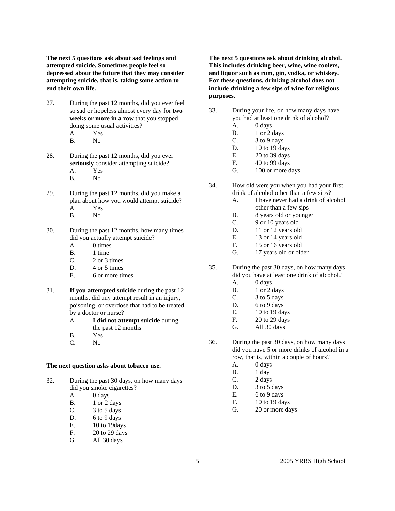**The next 5 questions ask about sad feelings and attempted suicide. Sometimes people feel so depressed about the future that they may consider attempting suicide, that is, taking some action to end their own life.** 

- 27. During the past 12 months, did you ever feel so sad or hopeless almost every day for **two weeks or more in a row** that you stopped doing some usual activities?
	- A. Yes
	- B. No
- 28. During the past 12 months, did you ever **seriously** consider attempting suicide? A. Yes
	- B. No
- 29. During the past 12 months, did you make a plan about how you would attempt suicide? A. Yes
	- B. No
- 30. During the past 12 months, how many times did you actually attempt suicide?
	- A. 0 times
	- B. 1 time
	- C. 2 or 3 times
	- D. 4 or 5 times
	- E. 6 or more times
- 31. **If you attempted suicide** during the past 12 months, did any attempt result in an injury, poisoning, or overdose that had to be treated by a doctor or nurse?
	- A. **I did not attempt suicide** during the past 12 months
	- B. Yes
	- C. No

#### **The next question asks about tobacco use.**

- 32. During the past 30 days, on how many days did you smoke cigarettes?
	- A. 0 days
	- B. 1 or 2 days
	- $C.$  3 to 5 days
	- D. 6 to 9 days
	- E. 10 to 19days
	- F. 20 to 29 days
	- G. All 30 days

**The next 5 questions ask about drinking alcohol. This includes drinking beer, wine, wine coolers, and liquor such as rum, gin, vodka, or whiskey. For these questions, drinking alcohol does not include drinking a few sips of wine for religious purposes.**

- 33. During your life, on how many days have you had at least one drink of alcohol?
	- A. 0 days
	- B. 1 or 2 days
	- C. 3 to 9 days
	- D. 10 to 19 days
	- E. 20 to 39 days
	- F. 40 to 99 days
	- G. 100 or more days
- 34. How old were you when you had your first drink of alcohol other than a few sips?
	- A. I have never had a drink of alcohol other than a few sips
	- B. 8 years old or younger
	- C. 9 or 10 years old
	- D. 11 or 12 years old
	- E. 13 or 14 years old
	- F. 15 or 16 years old
	- G. 17 years old or older
- 35. During the past 30 days, on how many days did you have at least one drink of alcohol?
	- A. 0 days
	- B. 1 or 2 days
	- C.  $3 \text{ to } 5 \text{ days}$
	- D. 6 to 9 days
	- E. 10 to 19 days
	- F. 20 to 29 days
	- G. All 30 days
- 36. During the past 30 days, on how many days did you have 5 or more drinks of alcohol in a row, that is, within a couple of hours?
	- A. 0 days
	- B. 1 day
	- C. 2 days
	- D. 3 to 5 days
	- E.  $6 to 9 days$
	- F. 10 to 19 days
	- G. 20 or more days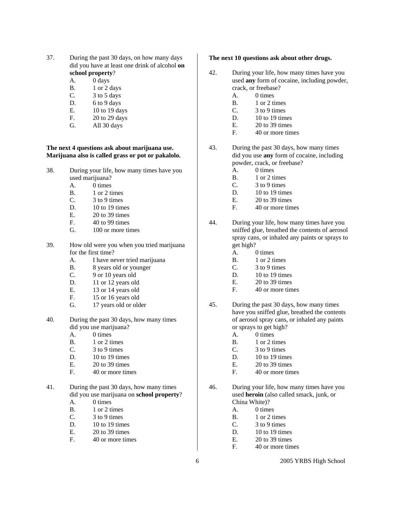- 37. During the past 30 days, on how many days did you have at least one drink of alcohol **on school property**?
	- A. 0 days
	- B. 1 or 2 days
	- C. 3 to 5 days
	- D. 6 to 9 days
	- E. 10 to 19 days
	- F. 20 to 29 days
	- G. All 30 days

#### **The next 4 questions ask about marijuana use. Marijuana also is called grass or pot or pakalolo.**

- 38. During your life, how many times have you used marijuana?
	- A. 0 times
	- B. 1 or 2 times
	- C. 3 to 9 times
	- D.  $10$  to 19 times
	- E. 20 to 39 times
	- F. 40 to 99 times
	- G. 100 or more times
- 39. How old were you when you tried marijuana for the first time?
	- A. I have never tried marijuana
	- B. 8 years old or younger
	- C. 9 or 10 years old
	- D. 11 or 12 years old
	- E. 13 or 14 years old
	- F. 15 or 16 years old
	- G. 17 years old or older
- 40. During the past 30 days, how many times did you use marijuana?
	- A. 0 times
	- B. 1 or 2 times
	- C. 3 to 9 times
	- D.  $10$  to 19 times
	- E. 20 to 39 times
	- F. 40 or more times
- 41. During the past 30 days, how many times did you use marijuana on **school property**?
	- A. 0 times
	- B. 1 or 2 times
	- $C.$  3 to 9 times
	- D.  $10$  to 19 times
	- E. 20 to 39 times
	- F. 40 or more times

#### **The next 10 questions ask about other drugs.**

- 42. During your life, how many times have you used **any** form of cocaine, including powder, crack, or freebase?
	- A. 0 times
	- B. 1 or 2 times
	- $C.$  3 to 9 times
	- D. 10 to 19 times
	- E. 20 to 39 times
	- F. 40 or more times
- 43. During the past 30 days, how many times did you use **any** form of cocaine, including powder, crack, or freebase?
	- A. 0 times
	- B. 1 or 2 times
	- C.  $3 \text{ to } 9 \text{ times}$
	- D.  $10$  to 19 times
	- E. 20 to 39 times
	- F. 40 or more times
- 44. During your life, how many times have you sniffed glue, breathed the contents of aerosol spray cans, or inhaled any paints or sprays to get high?
	- A. 0 times
	- B. 1 or 2 times
	- C. 3 to 9 times
	- D. 10 to 19 times
	- E. 20 to 39 times
	- F. 40 or more times
- 45. During the past 30 days, how many times have you sniffed glue, breathed the contents of aerosol spray cans, or inhaled any paints or sprays to get high?
	- A. 0 times
	- B. 1 or 2 times
	- C. 3 to 9 times
	- D. 10 to 19 times
	- E. 20 to 39 times
	- F. 40 or more times
- 46. During your life, how many times have you used **heroin** (also called smack, junk, or China White)?
	- A. 0 times
	- B. 1 or 2 times
	- $C.$  3 to 9 times
	- D. 10 to 19 times
	- E. 20 to 39 times
	- F. 40 or more times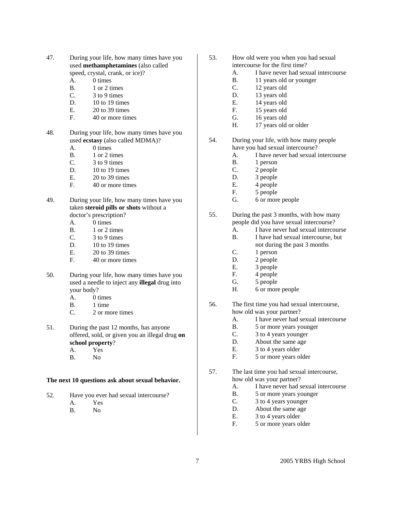- 47. During your life, how many times have you used **methamphetamines** (also called speed, crystal, crank, or ice)?
	- A. 0 times
	- B. 1 or 2 times
	- C. 3 to 9 times
	- D. 10 to 19 times
	- E. 20 to 39 times
	- F. 40 or more times
- 48. During your life, how many times have you used **ecstasy** (also called MDMA)?
	- A. 0 times
	- B. 1 or 2 times
	- C. 3 to 9 times
	- D. 10 to 19 times
	- E. 20 to 39 times
	- F. 40 or more times
- 49. During your life, how many times have you taken **steroid pills or shots** without a doctor's prescription?
	- A. 0 times
	- B. 1 or 2 times
	- C. 3 to 9 times
	- D. 10 to 19 times
	- E. 20 to 39 times
	- F. 40 or more times
- 50. During your life, how many times have you used a needle to inject any **illegal** drug into your body?
	- A. 0 times
	- B. 1 time
	- C. 2 or more times
- 51. During the past 12 months, has anyone offered, sold, or given you an illegal drug **on school property**?
	- A. Yes
	- B. No

#### **The next 10 questions ask about sexual behavior.**

- 52. Have you ever had sexual intercourse?
	- A. Yes
	- B. No
- 53. How old were you when you had sexual intercourse for the first time?
	- A. I have never had sexual intercourse
	- B. 11 years old or younger
	- C. 12 years old
	- D. 13 years old
	- E. 14 years old
	- F. 15 years old
	- G. 16 years old
	- H. 17 years old or older
- 54. During your life, with how many people have you had sexual intercourse?
	- A. I have never had sexual intercourse
	- B. 1 person
	- C. 2 people
	- D. 3 people
	- E. 4 people
	- F. 5 people
	- G. 6 or more people
- 55. During the past 3 months, with how many people did you have sexual intercourse?
	- A. I have never had sexual intercourse
	- B. I have had sexual intercourse, but not during the past 3 months
	- C. 1 person
	- D. 2 people
	- E. 3 people
	- F. 4 people
	- G. 5 people
	- H. 6 or more people
- 56. The first time you had sexual intercourse, how old was your partner?
	- A. I have never had sexual intercourse
	- B. 5 or more years younger
	- C. 3 to 4 years younger
	- D. About the same age
	- E. 3 to 4 years older
	- F. 5 or more years older
- 57. The last time you had sexual intercourse, how old was your partner?
	- A. I have never had sexual intercourse
	- B. 5 or more years younger
	- C. 3 to 4 years younger
	- D. About the same age
	- E. 3 to 4 years older
	- F. 5 or more years older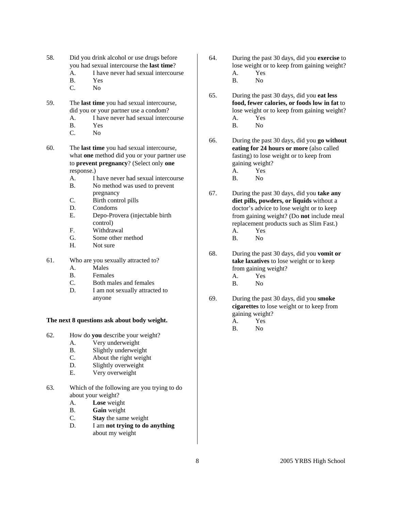- 58. Did you drink alcohol or use drugs before you had sexual intercourse the **last time**?
	- A. I have never had sexual intercourse
	- B. Yes
	- C. No
- 59. The **last time** you had sexual intercourse, did you or your partner use a condom?
	- A. I have never had sexual intercourse
	- B. Yes
	- C. No

60. The **last time** you had sexual intercourse, what **one** method did you or your partner use to **prevent pregnancy**? (Select only **one**  response.)

- A. I have never had sexual intercourse
- B. No method was used to prevent pregnancy
- C. Birth control pills
- D. Condoms
- E. Depo-Provera (injectable birth control)
- F. Withdrawal
- G. Some other method
- H. Not sure
- 61. Who are you sexually attracted to?
	- A. Males
	- B. Females
	- C. Both males and females
	- D. I am not sexually attracted to anyone
- **The next 8 questions ask about body weight.**
- 62. How do **you** describe your weight?
	- A. Very underweight
	- B. Slightly underweight
	- C. About the right weight
	- D. Slightly overweight
	- E. Very overweight
- 63. Which of the following are you trying to do about your weight?
	- A. **Lose** weight
	- B. **Gain** weight
	- C. **Stay** the same weight
	- D. I am **not trying to do anything** about my weight
- 64. During the past 30 days, did you **exercise** to lose weight or to keep from gaining weight? A. Yes
	- B. No
- 65. During the past 30 days, did you **eat less food, fewer calories, or foods low in fat** to lose weight or to keep from gaining weight? A. Yes
	- B. No
- 66. During the past 30 days, did you **go without eating for 24 hours or more** (also called fasting) to lose weight or to keep from gaining weight? A. Yes
	- B. No
- 67. During the past 30 days, did you **take any diet pills, powders, or liquids** without a doctor's advice to lose weight or to keep from gaining weight? (Do **not** include meal replacement products such as Slim Fast.) A. Yes
	- B. No
- 68. During the past 30 days, did you **vomit or take laxatives** to lose weight or to keep from gaining weight?
	- A. Yes
	- B. No
- 69. During the past 30 days, did you **smoke cigarettes** to lose weight or to keep from gaining weight?
	- A. Yes
	- B. No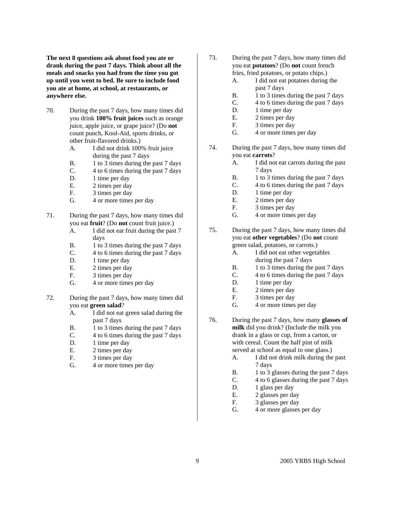**The next 8 questions ask about food you ate or drank during the past 7 days. Think about all the meals and snacks you had from the time you got up until you went to bed. Be sure to include food you ate at home, at school, at restaurants, or anywhere else.** 

- 70. During the past 7 days, how many times did you drink **100% fruit juices** such as orange juice, apple juice, or grape juice? (Do **not** count punch, Kool-Aid, sports drinks, or other fruit-flavored drinks.)
	- A. I did not drink 100% fruit juice during the past 7 days
	- B. 1 to 3 times during the past 7 days
	- C. 4 to 6 times during the past 7 days
	- D. 1 time per day
	- E. 2 times per day
	- F. 3 times per day
	- G. 4 or more times per day
- 71. During the past 7 days, how many times did you eat **fruit**? (Do **not** count fruit juice.)
	- A. I did not eat fruit during the past 7 days
	- B. 1 to 3 times during the past 7 days
	- C. 4 to 6 times during the past 7 days
	- D. 1 time per day
	- E. 2 times per day
	- F. 3 times per day
	- G. 4 or more times per day
- 72. During the past 7 days, how many times did you eat **green salad**?
	- A. I did not eat green salad during the past 7 days
	- B. 1 to 3 times during the past 7 days
	- C. 4 to 6 times during the past 7 days
	- D. 1 time per day
	- E. 2 times per day
	- F. 3 times per day
	- G. 4 or more times per day
- 73. During the past 7 days, how many times did you eat **potatoes**? (Do **not** count french fries, fried potatoes, or potato chips.)
	- A. I did not eat potatoes during the past 7 days
	- B. 1 to 3 times during the past 7 days
	- C. 4 to 6 times during the past 7 days
	- D. 1 time per day
	- E. 2 times per day
	- F. 3 times per day
	- G. 4 or more times per day
- 74. During the past 7 days, how many times did you eat **carrots**?
	- A. I did not eat carrots during the past 7 days
	- B. 1 to 3 times during the past 7 days
	- C. 4 to 6 times during the past 7 days
	- D. 1 time per day
	- E. 2 times per day
	- F. 3 times per day
	- G. 4 or more times per day
- 75. During the past 7 days, how many times did you eat **other vegetables**? (Do **not** count green salad, potatoes, or carrots.)
	- A. I did not eat other vegetables during the past 7 days
	- B. 1 to 3 times during the past 7 days
	- C. 4 to 6 times during the past 7 days
	- D. 1 time per day
	- E. 2 times per day
	- F. 3 times per day
	- G. 4 or more times per day
- 76. During the past 7 days, how many **glasses of milk** did you drink? (Include the milk you drank in a glass or cup, from a carton, or with cereal. Count the half pint of milk served at school as equal to one glass.)
	- A. I did not drink milk during the past 7 days
	- B. 1 to 3 glasses during the past 7 days
	- C. 4 to 6 glasses during the past 7 days
	- D. 1 glass per day
	- E. 2 glasses per day
	- F. 3 glasses per day
	- G. 4 or more glasses per day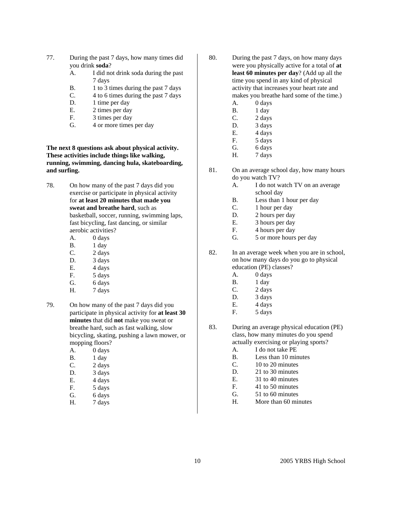- 77. During the past 7 days, how many times did you drink **soda**?
	- A. I did not drink soda during the past 7 days
	- B. 1 to 3 times during the past 7 days
	- C. 4 to 6 times during the past 7 days
	- D. 1 time per day
	- E. 2 times per day
	- F. 3 times per day
	- G. 4 or more times per day

**The next 8 questions ask about physical activity. These activities include things like walking, running, swimming, dancing hula, skateboarding, and surfing.** 

- 78. On how many of the past 7 days did you exercise or participate in physical activity for **at least 20 minutes that made you sweat and breathe hard**, such as basketball, soccer, running, swimming laps, fast bicycling, fast dancing, or similar aerobic activities?
	- A. 0 days
	- B. 1 day
	- C. 2 days
	- D. 3 days
	- E. 4 days
	- F. 5 days
	- G. 6 days
	- H. 7 days
- 79. On how many of the past 7 days did you participate in physical activity for **at least 30 minutes** that did **not** make you sweat or breathe hard, such as fast walking, slow bicycling, skating, pushing a lawn mower, or mopping floors?
	- A. 0 days
	- B. 1 day
	- C. 2 days
	- D. 3 days
	- E. 4 days
	- F. 5 days
	- G. 6 days
	- H. 7 days
- 80. During the past 7 days, on how many days were you physically active for a total of **at least 60 minutes per day**? (Add up all the time you spend in any kind of physical activity that increases your heart rate and makes you breathe hard some of the time.)
	- A. 0 days
	- B. 1 day C. 2 days
	- D. 3 days
	- E. 4 days
	- F. 5 days
	- G. 6 days
	- H. 7 days
- 81. On an average school day, how many hours do you watch TV?
	- A. I do not watch TV on an average school day
	- B. Less than 1 hour per day
	- C. 1 hour per day
	- D. 2 hours per day
	- E. 3 hours per day
	- F. 4 hours per day
	- G. 5 or more hours per day

82. In an average week when you are in school, on how many days do you go to physical education (PE) classes?

- A. 0 days
- B. 1 day
- C. 2 days
- D. 3 days
- E. 4 days
- F. 5 days

83. During an average physical education (PE) class, how many minutes do you spend actually exercising or playing sports?

- A. I do not take PE
- B. Less than 10 minutes
- C. 10 to 20 minutes
- D. 21 to 30 minutes
- E. 31 to 40 minutes
- F. 41 to 50 minutes
- G. 51 to 60 minutes
- H. More than 60 minutes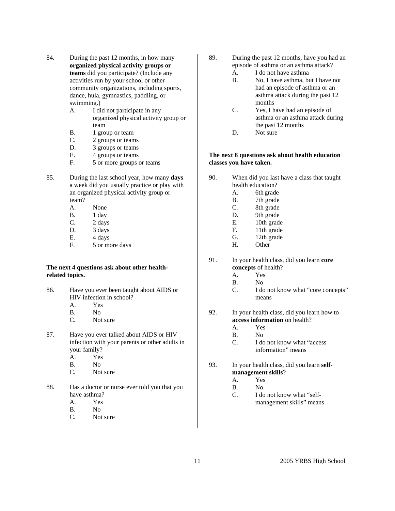- 84. During the past 12 months, in how many **organized physical activity groups or teams** did you participate? (Include any activities run by your school or other community organizations, including sports, dance, hula, gymnastics, paddling, or swimming.)
	- A. I did not participate in any organized physical activity group or team
	- B. 1 group or team
	- C. 2 groups or teams
	- D. 3 groups or teams
	- E. 4 groups or teams
	- F. 5 or more groups or teams
- 85. During the last school year, how many **days** a week did you usually practice or play with an organized physical activity group or team?
	- A. None
	- B. 1 day
	- C. 2 days
	- D. 3 days
	- E. 4 days
	- F. 5 or more days

#### **The next 4 questions ask about other healthrelated topics.**

- 86. Have you ever been taught about AIDS or HIV infection in school?
	- A. Yes
	- B. No
	- C. Not sure
- 87. Have you ever talked about AIDS or HIV infection with your parents or other adults in your family?
	- A. Yes
	- B. No
	- C. Not sure
- 88. Has a doctor or nurse ever told you that you have asthma?
	- A. Yes
	- B. No
	- C. Not sure
- 89. During the past 12 months, have you had an episode of asthma or an asthma attack?
	- A. I do not have asthma
	- B. No, I have asthma, but I have not had an episode of asthma or an asthma attack during the past 12 months
	- C. Yes, I have had an episode of asthma or an asthma attack during the past 12 months
	- D. Not sure

#### **The next 8 questions ask about health education classes you have taken.**

- 90. When did you last have a class that taught health education?
	- A. 6th grade
	- B. 7th grade
	- C. 8th grade
	- D. 9th grade
	- E. 10th grade
	- F. 11th grade
	- G. 12th grade
	- H. Other
- 91. In your health class, did you learn **core concepts** of health?
	- A. Yes
	- B. No
	- C. I do not know what "core concepts" means
- 92. In your health class, did you learn how to **access information** on health?
	- A. Yes
	- B. No
	- C. I do not know what "access information" means
- 93. In your health class, did you learn **selfmanagement skills**?
	- A. Yes
	- B. No
	- C. I do not know what "selfmanagement skills" means